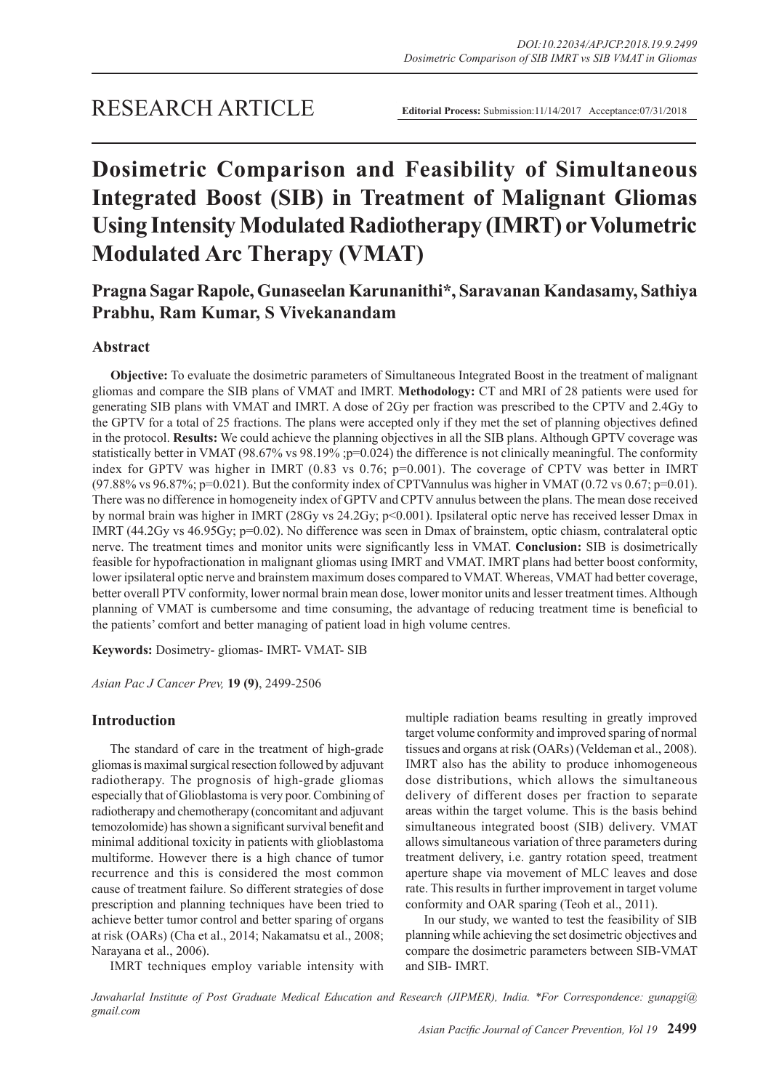# **Dosimetric Comparison and Feasibility of Simultaneous Integrated Boost (SIB) in Treatment of Malignant Gliomas Using Intensity Modulated Radiotherapy (IMRT) or Volumetric Modulated Arc Therapy (VMAT)**

# **Pragna Sagar Rapole, Gunaseelan Karunanithi\*, Saravanan Kandasamy, Sathiya Prabhu, Ram Kumar, S Vivekanandam**

# **Abstract**

**Objective:** To evaluate the dosimetric parameters of Simultaneous Integrated Boost in the treatment of malignant gliomas and compare the SIB plans of VMAT and IMRT. **Methodology:** CT and MRI of 28 patients were used for generating SIB plans with VMAT and IMRT. A dose of 2Gy per fraction was prescribed to the CPTV and 2.4Gy to the GPTV for a total of 25 fractions. The plans were accepted only if they met the set of planning objectives defined in the protocol. **Results:** We could achieve the planning objectives in all the SIB plans. Although GPTV coverage was statistically better in VMAT (98.67% vs 98.19% ;p=0.024) the difference is not clinically meaningful. The conformity index for GPTV was higher in IMRT (0.83 vs 0.76; p=0.001). The coverage of CPTV was better in IMRT (97.88% vs 96.87%; p=0.021). But the conformity index of CPTVannulus was higher in VMAT (0.72 vs 0.67; p=0.01). There was no difference in homogeneity index of GPTV and CPTV annulus between the plans. The mean dose received by normal brain was higher in IMRT (28Gy vs 24.2Gy; p<0.001). Ipsilateral optic nerve has received lesser Dmax in IMRT (44.2Gy vs 46.95Gy; p=0.02). No difference was seen in Dmax of brainstem, optic chiasm, contralateral optic nerve. The treatment times and monitor units were significantly less in VMAT. **Conclusion:** SIB is dosimetrically feasible for hypofractionation in malignant gliomas using IMRT and VMAT. IMRT plans had better boost conformity, lower ipsilateral optic nerve and brainstem maximum doses compared to VMAT. Whereas, VMAT had better coverage, better overall PTV conformity, lower normal brain mean dose, lower monitor units and lesser treatment times. Although planning of VMAT is cumbersome and time consuming, the advantage of reducing treatment time is beneficial to the patients' comfort and better managing of patient load in high volume centres.

**Keywords:** Dosimetry- gliomas- IMRT- VMAT- SIB

*Asian Pac J Cancer Prev,* **19 (9)**, 2499-2506

# **Introduction**

The standard of care in the treatment of high-grade gliomas is maximal surgical resection followed by adjuvant radiotherapy. The prognosis of high-grade gliomas especially that of Glioblastoma is very poor. Combining of radiotherapy and chemotherapy (concomitant and adjuvant temozolomide) has shown a significant survival benefit and minimal additional toxicity in patients with glioblastoma multiforme. However there is a high chance of tumor recurrence and this is considered the most common cause of treatment failure. So different strategies of dose prescription and planning techniques have been tried to achieve better tumor control and better sparing of organs at risk (OARs) (Cha et al., 2014; Nakamatsu et al., 2008; Narayana et al., 2006).

IMRT techniques employ variable intensity with

multiple radiation beams resulting in greatly improved target volume conformity and improved sparing of normal tissues and organs at risk (OARs) (Veldeman et al., 2008). IMRT also has the ability to produce inhomogeneous dose distributions, which allows the simultaneous delivery of different doses per fraction to separate areas within the target volume. This is the basis behind simultaneous integrated boost (SIB) delivery. VMAT allows simultaneous variation of three parameters during treatment delivery, i.e. gantry rotation speed, treatment aperture shape via movement of MLC leaves and dose rate. This results in further improvement in target volume conformity and OAR sparing (Teoh et al., 2011).

In our study, we wanted to test the feasibility of SIB planning while achieving the set dosimetric objectives and compare the dosimetric parameters between SIB-VMAT and SIB- IMRT.

*Jawaharlal Institute of Post Graduate Medical Education and Research (JIPMER), India. \*For Correspondence: gunapgi@ gmail.com*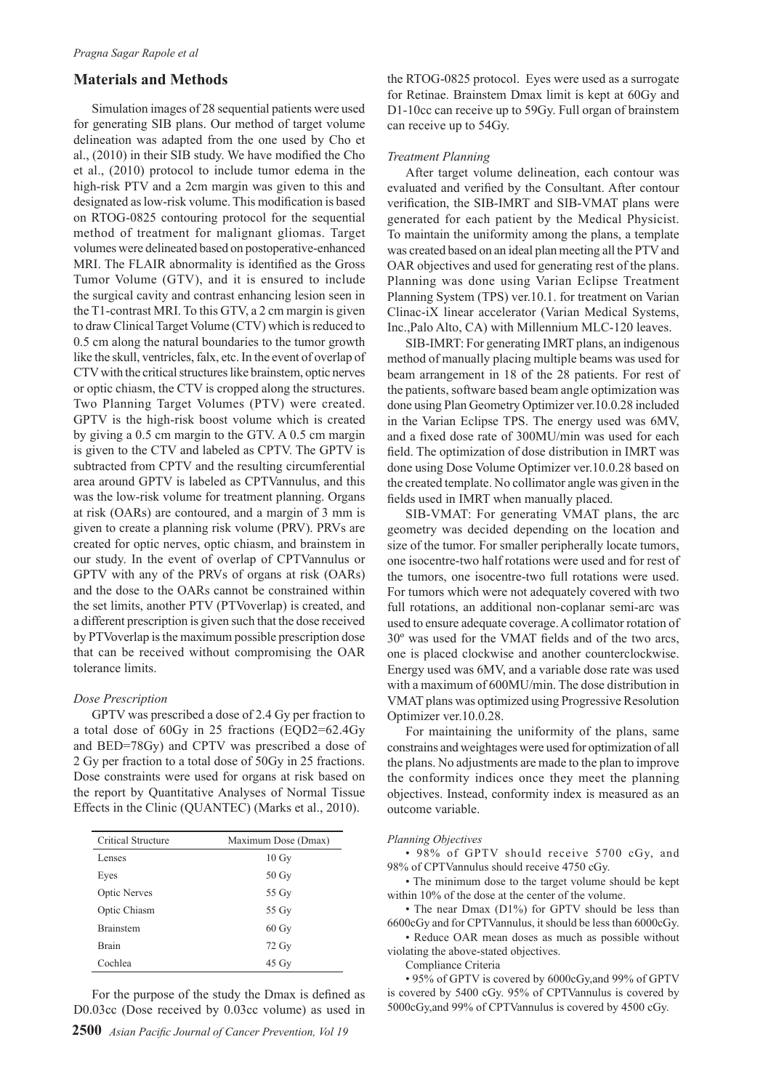## **Materials and Methods**

Simulation images of 28 sequential patients were used for generating SIB plans. Our method of target volume delineation was adapted from the one used by Cho et al., (2010) in their SIB study. We have modified the Cho et al., (2010) protocol to include tumor edema in the high-risk PTV and a 2cm margin was given to this and designated as low-risk volume. This modification is based on RTOG-0825 contouring protocol for the sequential method of treatment for malignant gliomas. Target volumes were delineated based on postoperative-enhanced MRI. The FLAIR abnormality is identified as the Gross Tumor Volume (GTV), and it is ensured to include the surgical cavity and contrast enhancing lesion seen in the T1-contrast MRI. To this GTV, a 2 cm margin is given to draw Clinical Target Volume (CTV) which is reduced to 0.5 cm along the natural boundaries to the tumor growth like the skull, ventricles, falx, etc. In the event of overlap of CTV with the critical structures like brainstem, optic nerves or optic chiasm, the CTV is cropped along the structures. Two Planning Target Volumes (PTV) were created. GPTV is the high-risk boost volume which is created by giving a 0.5 cm margin to the GTV. A 0.5 cm margin is given to the CTV and labeled as CPTV. The GPTV is subtracted from CPTV and the resulting circumferential area around GPTV is labeled as CPTVannulus, and this was the low-risk volume for treatment planning. Organs at risk (OARs) are contoured, and a margin of 3 mm is given to create a planning risk volume (PRV). PRVs are created for optic nerves, optic chiasm, and brainstem in our study. In the event of overlap of CPTVannulus or GPTV with any of the PRVs of organs at risk (OARs) and the dose to the OARs cannot be constrained within the set limits, another PTV (PTVoverlap) is created, and a different prescription is given such that the dose received by PTVoverlap is the maximum possible prescription dose that can be received without compromising the OAR tolerance limits.

#### *Dose Prescription*

GPTV was prescribed a dose of 2.4 Gy per fraction to a total dose of 60Gy in 25 fractions (EQD2=62.4Gy and BED=78Gy) and CPTV was prescribed a dose of 2 Gy per fraction to a total dose of 50Gy in 25 fractions. Dose constraints were used for organs at risk based on the report by Quantitative Analyses of Normal Tissue Effects in the Clinic (QUANTEC) (Marks et al., 2010).

| Critical Structure  | Maximum Dose (Dmax) |
|---------------------|---------------------|
| Lenses              | $10 \text{ Gy}$     |
| Eyes                | 50 Gy               |
| <b>Optic Nerves</b> | 55 Gy               |
| Optic Chiasm        | 55 Gy               |
| <b>Brainstem</b>    | $60 \text{ Gy}$     |
| <b>Brain</b>        | 72 Gy               |
| Cochlea             | $45 \text{ Gy}$     |

For the purpose of the study the Dmax is defined as D0.03cc (Dose received by 0.03cc volume) as used in

the RTOG-0825 protocol. Eyes were used as a surrogate for Retinae. Brainstem Dmax limit is kept at 60Gy and D1-10cc can receive up to 59Gy. Full organ of brainstem can receive up to 54Gy.

### *Treatment Planning*

After target volume delineation, each contour was evaluated and verified by the Consultant. After contour verification, the SIB-IMRT and SIB-VMAT plans were generated for each patient by the Medical Physicist. To maintain the uniformity among the plans, a template was created based on an ideal plan meeting all the PTV and OAR objectives and used for generating rest of the plans. Planning was done using Varian Eclipse Treatment Planning System (TPS) ver.10.1. for treatment on Varian Clinac-iX linear accelerator (Varian Medical Systems, Inc.,Palo Alto, CA) with Millennium MLC-120 leaves.

SIB-IMRT: For generating IMRT plans, an indigenous method of manually placing multiple beams was used for beam arrangement in 18 of the 28 patients. For rest of the patients, software based beam angle optimization was done using Plan Geometry Optimizer ver.10.0.28 included in the Varian Eclipse TPS. The energy used was 6MV, and a fixed dose rate of 300MU/min was used for each field. The optimization of dose distribution in IMRT was done using Dose Volume Optimizer ver.10.0.28 based on the created template. No collimator angle was given in the fields used in IMRT when manually placed.

SIB-VMAT: For generating VMAT plans, the arc geometry was decided depending on the location and size of the tumor. For smaller peripherally locate tumors, one isocentre-two half rotations were used and for rest of the tumors, one isocentre-two full rotations were used. For tumors which were not adequately covered with two full rotations, an additional non-coplanar semi-arc was used to ensure adequate coverage. A collimator rotation of 30º was used for the VMAT fields and of the two arcs, one is placed clockwise and another counterclockwise. Energy used was 6MV, and a variable dose rate was used with a maximum of 600MU/min. The dose distribution in VMAT plans was optimized using Progressive Resolution Optimizer ver.10.0.28.

For maintaining the uniformity of the plans, same constrains and weightages were used for optimization of all the plans. No adjustments are made to the plan to improve the conformity indices once they meet the planning objectives. Instead, conformity index is measured as an outcome variable.

#### *Planning Objectives*

• 98% of GPTV should receive 5700 cGy, and 98% of CPTVannulus should receive 4750 cGy.

• The minimum dose to the target volume should be kept within 10% of the dose at the center of the volume.

• The near Dmax (D1%) for GPTV should be less than 6600cGy and for CPTVannulus, it should be less than 6000cGy.

• Reduce OAR mean doses as much as possible without violating the above-stated objectives.

Compliance Criteria

• 95% of GPTV is covered by 6000cGy,and 99% of GPTV is covered by 5400 cGy. 95% of CPTVannulus is covered by 5000cGy,and 99% of CPTVannulus is covered by 4500 cGy.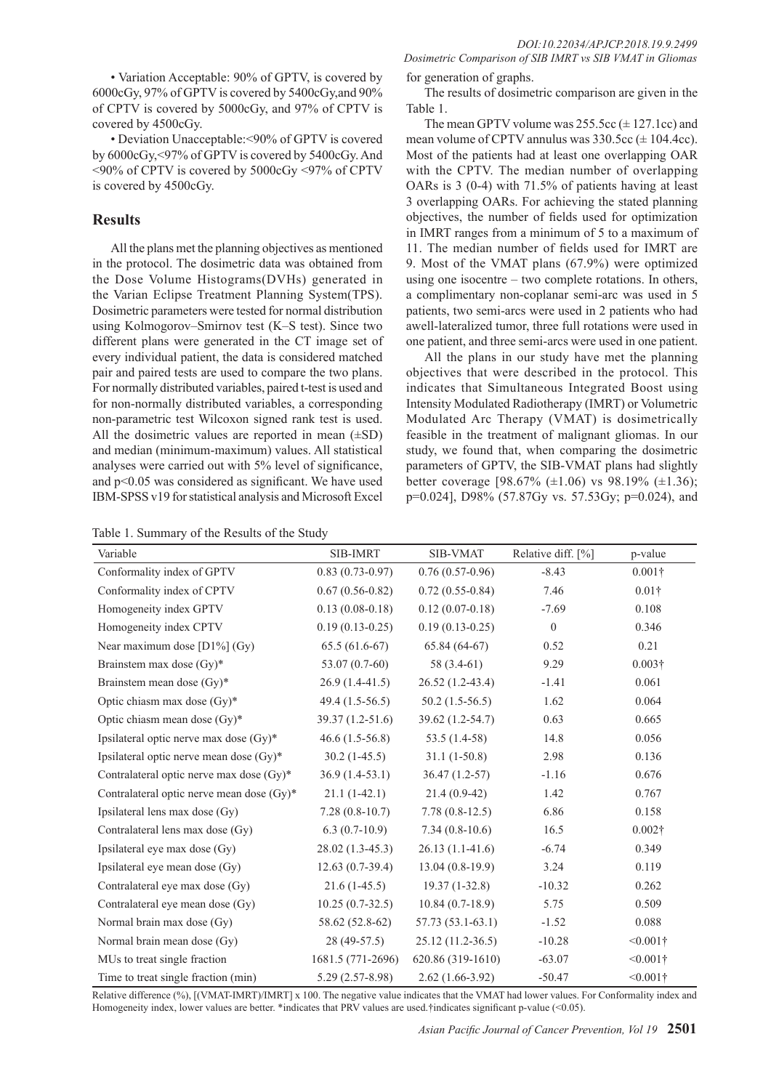• Variation Acceptable: 90% of GPTV, is covered by 6000cGy, 97% of GPTV is covered by 5400cGy,and 90% of CPTV is covered by 5000cGy, and 97% of CPTV is covered by 4500cGy.

• Deviation Unacceptable:<90% of GPTV is covered by 6000cGy,<97% of GPTV is covered by 5400cGy. And <90% of CPTV is covered by 5000cGy <97% of CPTV is covered by 4500cGy.

# **Results**

All the plans met the planning objectives as mentioned in the protocol. The dosimetric data was obtained from the Dose Volume Histograms(DVHs) generated in the Varian Eclipse Treatment Planning System(TPS). Dosimetric parameters were tested for normal distribution using Kolmogorov–Smirnov test (K–S test). Since two different plans were generated in the CT image set of every individual patient, the data is considered matched pair and paired tests are used to compare the two plans. For normally distributed variables, paired t-test is used and for non-normally distributed variables, a corresponding non-parametric test Wilcoxon signed rank test is used. All the dosimetric values are reported in mean  $(\pm SD)$ and median (minimum-maximum) values. All statistical analyses were carried out with 5% level of significance, and p<0.05 was considered as significant. We have used IBM-SPSS v19 for statistical analysis and Microsoft Excel

Table 1. Summary of the Results of the Study

*Dosimetric Comparison of SIB IMRT vs SIB VMAT in Gliomas*  for generation of graphs.

The results of dosimetric comparison are given in the Table 1.

The mean GPTV volume was  $255.5cc \ (\pm 127.1cc)$  and mean volume of CPTV annulus was  $330.5cc \, (\pm 104.4cc)$ . Most of the patients had at least one overlapping OAR with the CPTV. The median number of overlapping OARs is 3 (0-4) with 71.5% of patients having at least 3 overlapping OARs. For achieving the stated planning objectives, the number of fields used for optimization in IMRT ranges from a minimum of 5 to a maximum of 11. The median number of fields used for IMRT are 9. Most of the VMAT plans (67.9%) were optimized using one isocentre – two complete rotations. In others, a complimentary non-coplanar semi-arc was used in 5 patients, two semi-arcs were used in 2 patients who had awell-lateralized tumor, three full rotations were used in one patient, and three semi-arcs were used in one patient.

All the plans in our study have met the planning objectives that were described in the protocol. This indicates that Simultaneous Integrated Boost using Intensity Modulated Radiotherapy (IMRT) or Volumetric Modulated Arc Therapy (VMAT) is dosimetrically feasible in the treatment of malignant gliomas. In our study, we found that, when comparing the dosimetric parameters of GPTV, the SIB-VMAT plans had slightly better coverage  $[98.67\% (\pm 1.06)$  vs  $98.19\% (\pm 1.36)$ ; p=0.024], D98% (57.87Gy vs. 57.53Gy; p=0.024), and

| Variable                                  | <b>SIB-IMRT</b>   | <b>SIB-VMAT</b>    | Relative diff. [%] | p-value        |
|-------------------------------------------|-------------------|--------------------|--------------------|----------------|
| Conformality index of GPTV                | $0.83(0.73-0.97)$ | $0.76(0.57-0.96)$  | $-8.43$            | $0.001\dagger$ |
| Conformality index of CPTV                | $0.67(0.56-0.82)$ | $0.72(0.55-0.84)$  | 7.46               | $0.01\dagger$  |
| Homogeneity index GPTV                    | $0.13(0.08-0.18)$ | $0.12(0.07-0.18)$  | $-7.69$            | 0.108          |
| Homogeneity index CPTV                    | $0.19(0.13-0.25)$ | $0.19(0.13-0.25)$  | $\theta$           | 0.346          |
| Near maximum dose $[D1\%]$ (Gy)           | $65.5(61.6-67)$   | $65.84(64-67)$     | 0.52               | 0.21           |
| Brainstem max dose (Gy)*                  | $53.07(0.7-60)$   | 58 $(3.4-61)$      | 9.29               | $0.003\dagger$ |
| Brainstem mean dose (Gy)*                 | $26.9(1.4-41.5)$  | $26.52(1.2-43.4)$  | $-1.41$            | 0.061          |
| Optic chiasm max dose (Gy)*               | $49.4(1.5-56.5)$  | $50.2(1.5-56.5)$   | 1.62               | 0.064          |
| Optic chiasm mean dose (Gy)*              | 39.37 (1.2-51.6)  | 39.62 (1.2-54.7)   | 0.63               | 0.665          |
| Ipsilateral optic nerve max dose (Gy)*    | $46.6(1.5-56.8)$  | $53.5(1.4-58)$     | 14.8               | 0.056          |
| Ipsilateral optic nerve mean dose (Gy)*   | $30.2(1-45.5)$    | $31.1(1-50.8)$     | 2.98               | 0.136          |
| Contralateral optic nerve max dose (Gy)*  | $36.9(1.4-53.1)$  | $36.47(1.2-57)$    | $-1.16$            | 0.676          |
| Contralateral optic nerve mean dose (Gy)* | $21.1(1-42.1)$    | $21.4(0.9-42)$     | 1.42               | 0.767          |
| Ipsilateral lens max dose (Gy)            | $7.28(0.8-10.7)$  | $7.78(0.8-12.5)$   | 6.86               | 0.158          |
| Contralateral lens max dose (Gy)          | $6.3(0.7-10.9)$   | $7.34(0.8-10.6)$   | 16.5               | $0.002\dagger$ |
| Ipsilateral eye max dose (Gy)             | $28.02(1.3-45.3)$ | $26.13(1.1-41.6)$  | $-6.74$            | 0.349          |
| Ipsilateral eye mean dose (Gy)            | $12.63(0.7-39.4)$ | $13.04(0.8-19.9)$  | 3.24               | 0.119          |
| Contralateral eye max dose (Gy)           | $21.6(1-45.5)$    | $19.37(1-32.8)$    | $-10.32$           | 0.262          |
| Contralateral eye mean dose (Gy)          | $10.25(0.7-32.5)$ | $10.84(0.7-18.9)$  | 5.75               | 0.509          |
| Normal brain max dose (Gy)                | 58.62 (52.8-62)   | 57.73 (53.1-63.1)  | $-1.52$            | 0.088          |
| Normal brain mean dose (Gy)               | 28 (49-57.5)      | $25.12(11.2-36.5)$ | $-10.28$           | $< 0.001$ †    |
| MUs to treat single fraction              | 1681.5 (771-2696) | 620.86 (319-1610)  | $-63.07$           | $< 0.001$ †    |
| Time to treat single fraction (min)       | $5.29(2.57-8.98)$ | $2.62(1.66-3.92)$  | $-50.47$           | $< 0.001$ †    |

Relative difference (%), [(VMAT-IMRT)/IMRT] x 100. The negative value indicates that the VMAT had lower values. For Conformality index and Homogeneity index, lower values are better. \*indicates that PRV values are used.†indicates significant p-value (<0.05).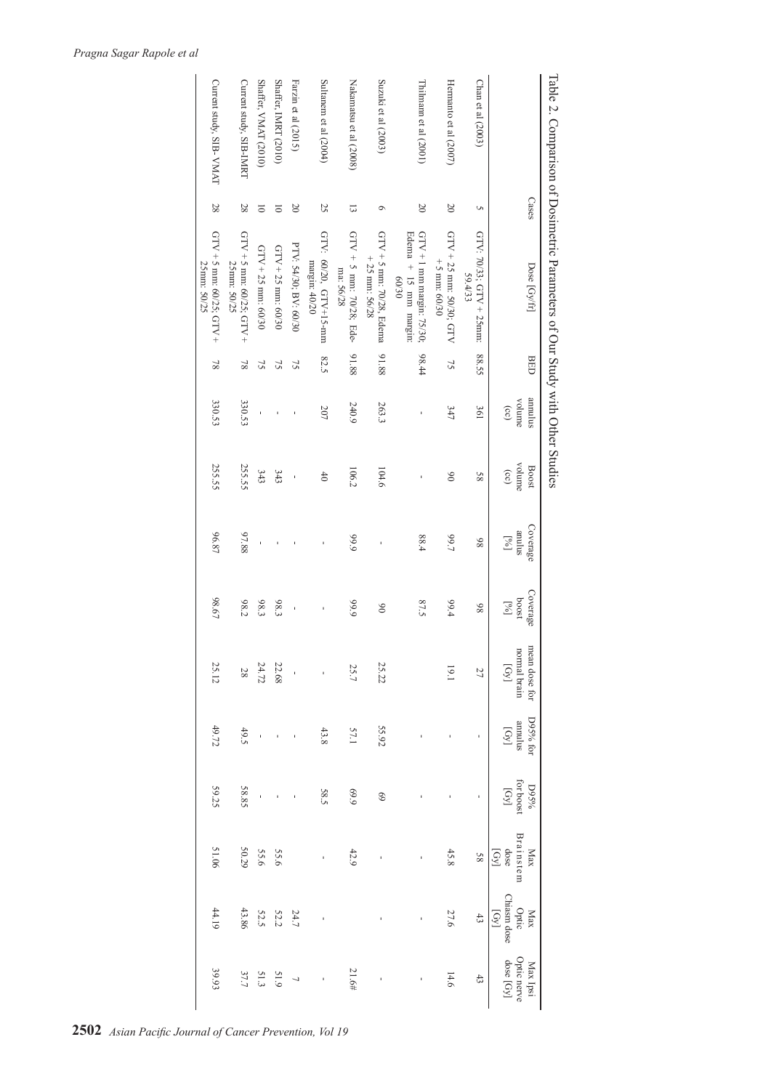|                          |                     | Table 2. Comparison of Dosimetric Parameters of Our Study with Other Studies |                 |                           |                        |                                                                                       |                                                |                        |                                                                   |             |                     |                                       |                                      |
|--------------------------|---------------------|------------------------------------------------------------------------------|-----------------|---------------------------|------------------------|---------------------------------------------------------------------------------------|------------------------------------------------|------------------------|-------------------------------------------------------------------|-------------|---------------------|---------------------------------------|--------------------------------------|
|                          | Cases               | Dose [Gy/fr]                                                                 | <b>BED</b>      | annulus<br>volume<br>(cc) | volume<br>Boost<br>(c) | Coverage<br>anulus<br>$\left[\begin{smallmatrix} 0 \times 1 \end{smallmatrix}\right]$ | Coverage<br>1800q<br>$\left[\gamma_{0}\right]$ | mean dose for D95% for | normal brain annulus for boost Brainste mormal brain annulus (Gy) | <b>D95%</b> | Max<br>dose<br>[Gy] | Optic<br>Chiasm dose<br>$[Gy]$<br>Max | Optic nerve<br>dose [Gy]<br>Max Ipsi |
| Chan et al (2003)        | S                   | GTV: 70/33; GTV + 25mm:<br>59.4/33                                           | 88.55           | 361                       | 85                     | 86                                                                                    | 86                                             | 27                     |                                                                   |             | 58                  | $43$                                  | 43                                   |
| Hermanto et al (2007)    | 20                  | GTV $+ 25$ mm: 50/30; GTV<br>$+5$ mm: 60/30                                  | 75              | 347                       | $\delta$               | 7,99.7                                                                                | 99.4                                           | 19.1                   |                                                                   |             | 45.8                | 27.6                                  | 14.6                                 |
| Thilmann et al (2001)    | $\overline{20}$     | Edema + 15 mm margin:<br>$GTV + 1$ mm margin: 75/30;<br>60/30                | 98.44           |                           |                        | 88.4                                                                                  | 87.5                                           |                        |                                                                   |             |                     |                                       |                                      |
| Suzuki et al (2003)      | $\circ$             | $GTV + 5$ mm: 70/28, Edema<br>$+25$ mm: 56/28                                | 91.88           | 263.3                     | 104.6                  |                                                                                       | $\delta$                                       | 25.22                  | 55.92                                                             | 69          |                     |                                       |                                      |
| Nakamatsu et al (2008)   | $\overline{\omega}$ | GTV + 5 mm: 70/28; Ede-<br>ma: 56/28                                         | 91.88           | 240.9                     | 106.2                  | 6'66                                                                                  | 6'66                                           | 25.7                   | 57.1                                                              | 69.9        | 42.9                |                                       | 21.6#                                |
| Sultanem et al $(2004)$  | 25                  | GTV: 60/20, GTV+15-mm<br>margin: 40/20                                       | 82.5            | 207                       | 40                     |                                                                                       | ı                                              |                        | 43.8                                                              | 58.5        | $\mathbf{I}$        | ı                                     |                                      |
| Farzin et al (2015)      | $\overline{0}$      | PTV: 54/30; BV: 60/30                                                        | 75              |                           | ï                      |                                                                                       | ï                                              |                        |                                                                   |             |                     | 24.7                                  | $\overline{a}$                       |
| Shaffer, IMRT (2010)     | $\overline{\circ}$  | $GTV + 25$ mm: 60/30                                                         | 75              |                           | 343                    |                                                                                       | 683                                            | 22.68                  |                                                                   |             | 55.6                | <b>52.2</b>                           |                                      |
| Shaffer, VMAT (2010)     | $\overline{\circ}$  | $GTV + 25$ mm: 60/30                                                         | 75              |                           | 343                    |                                                                                       | 98.3                                           | 24.72                  |                                                                   |             | 9556                | 52.5                                  | $51.9$<br>$37.7$                     |
| Current study, SIB-IMRT  | 28                  | GTV + 5 mm: 60/25; GTV +<br>25mm: 50/25                                      | $\overline{81}$ | 330.53                    | 255.55                 | 97.88                                                                                 | 98.2                                           | $28\,$                 | 49.5                                                              | 58.85       | 50.29               | 43.86                                 |                                      |
| Current study, SIB- VMAT | 28                  | GTV + 5 mm: 60/25; GTV +<br>25mm: 50/25                                      | $\overline{8}$  | 330.53                    | 255.55                 | 96.87                                                                                 | 98.67                                          | 25.12                  | 49.72                                                             | 59.25       | 51.06               | 44.19                                 | 39.93                                |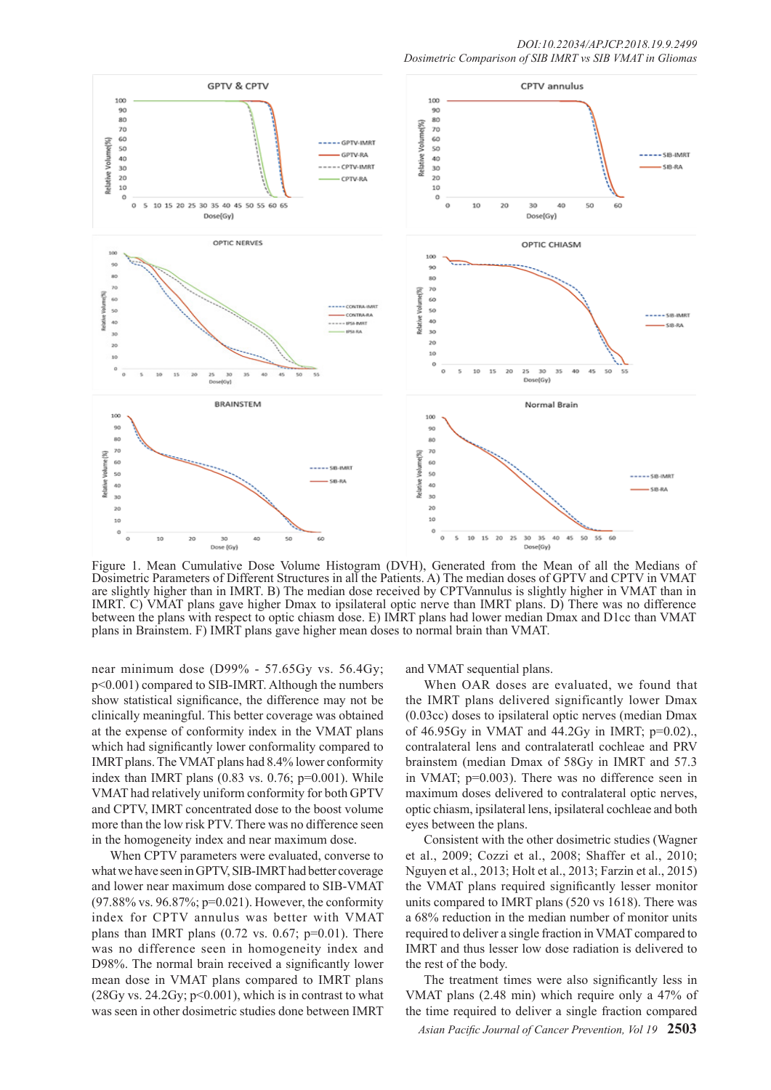

Figure 1. Mean Cumulative Dose Volume Histogram (DVH), Generated from the Mean of all the Medians of Dosimetric Parameters of Different Structures in all the Patients. A) The median doses of GPTV and CPTV in VMAT are slightly higher than in IMRT. B) The median dose received by CPTVannulus is slightly higher in VMAT than in IMRT. C) VMAT plans gave higher Dmax to ipsilateral optic nerve than IMRT plans. D) There was no difference between the plans with respect to optic chiasm dose. E) IMRT plans had lower median Dmax and D1cc than VMAT plans in Brainstem. F) IMRT plans gave higher mean doses to normal brain than VMAT.

near minimum dose (D99% - 57.65Gy vs. 56.4Gy; p<0.001) compared to SIB-IMRT. Although the numbers show statistical significance, the difference may not be clinically meaningful. This better coverage was obtained at the expense of conformity index in the VMAT plans which had significantly lower conformality compared to IMRT plans. The VMAT plans had 8.4% lower conformity index than IMRT plans  $(0.83 \text{ vs. } 0.76; \text{p=0.001})$ . While VMAT had relatively uniform conformity for both GPTV and CPTV, IMRT concentrated dose to the boost volume more than the low risk PTV. There was no difference seen in the homogeneity index and near maximum dose.

When CPTV parameters were evaluated, converse to what we have seen in GPTV, SIB-IMRT had better coverage and lower near maximum dose compared to SIB-VMAT (97.88% vs. 96.87%; p=0.021). However, the conformity index for CPTV annulus was better with VMAT plans than IMRT plans  $(0.72 \text{ vs. } 0.67; \text{ p=0.01}).$  There was no difference seen in homogeneity index and D98%. The normal brain received a significantly lower mean dose in VMAT plans compared to IMRT plans  $(28Gy vs. 24.2Gy; p<0.001)$ , which is in contrast to what was seen in other dosimetric studies done between IMRT

and VMAT sequential plans.

When OAR doses are evaluated, we found that the IMRT plans delivered significantly lower Dmax (0.03cc) doses to ipsilateral optic nerves (median Dmax of 46.95Gy in VMAT and 44.2Gy in IMRT; p=0.02)., contralateral lens and contralateratl cochleae and PRV brainstem (median Dmax of 58Gy in IMRT and 57.3 in VMAT; p=0.003). There was no difference seen in maximum doses delivered to contralateral optic nerves, optic chiasm, ipsilateral lens, ipsilateral cochleae and both eyes between the plans.

Consistent with the other dosimetric studies (Wagner et al., 2009; Cozzi et al., 2008; Shaffer et al., 2010; Nguyen et al., 2013; Holt et al., 2013; Farzin et al., 2015) the VMAT plans required significantly lesser monitor units compared to IMRT plans (520 vs 1618). There was a 68% reduction in the median number of monitor units required to deliver a single fraction in VMAT compared to IMRT and thus lesser low dose radiation is delivered to the rest of the body.

The treatment times were also significantly less in VMAT plans (2.48 min) which require only a 47% of the time required to deliver a single fraction compared

*Asian Pacific Journal of Cancer Prevention, Vol 19* **2503**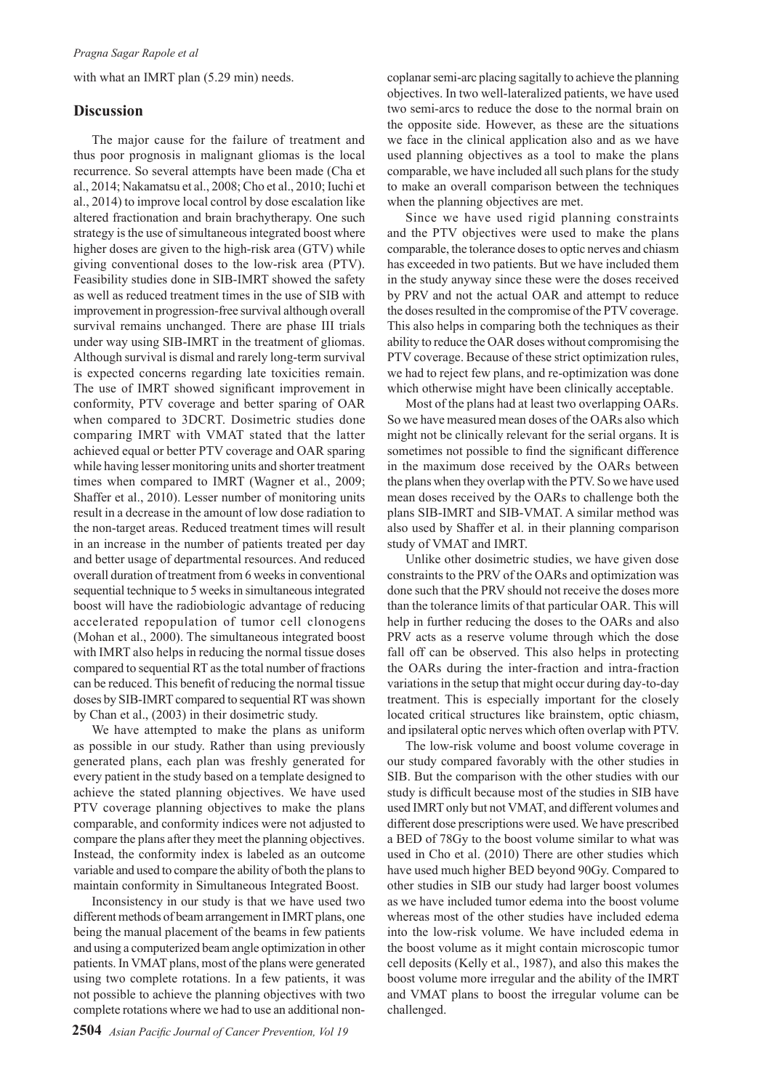with what an IMRT plan (5.29 min) needs.

# **Discussion**

The major cause for the failure of treatment and thus poor prognosis in malignant gliomas is the local recurrence. So several attempts have been made (Cha et al., 2014; Nakamatsu et al., 2008; Cho et al., 2010; Iuchi et al., 2014) to improve local control by dose escalation like altered fractionation and brain brachytherapy. One such strategy is the use of simultaneous integrated boost where higher doses are given to the high-risk area (GTV) while giving conventional doses to the low-risk area (PTV). Feasibility studies done in SIB-IMRT showed the safety as well as reduced treatment times in the use of SIB with improvement in progression-free survival although overall survival remains unchanged. There are phase III trials under way using SIB-IMRT in the treatment of gliomas. Although survival is dismal and rarely long-term survival is expected concerns regarding late toxicities remain. The use of IMRT showed significant improvement in conformity, PTV coverage and better sparing of OAR when compared to 3DCRT. Dosimetric studies done comparing IMRT with VMAT stated that the latter achieved equal or better PTV coverage and OAR sparing while having lesser monitoring units and shorter treatment times when compared to IMRT (Wagner et al., 2009; Shaffer et al., 2010). Lesser number of monitoring units result in a decrease in the amount of low dose radiation to the non-target areas. Reduced treatment times will result in an increase in the number of patients treated per day and better usage of departmental resources. And reduced overall duration of treatment from 6 weeks in conventional sequential technique to 5 weeks in simultaneous integrated boost will have the radiobiologic advantage of reducing accelerated repopulation of tumor cell clonogens (Mohan et al., 2000). The simultaneous integrated boost with IMRT also helps in reducing the normal tissue doses compared to sequential RT as the total number of fractions can be reduced. This benefit of reducing the normal tissue doses by SIB-IMRT compared to sequential RT was shown by Chan et al., (2003) in their dosimetric study.

We have attempted to make the plans as uniform as possible in our study. Rather than using previously generated plans, each plan was freshly generated for every patient in the study based on a template designed to achieve the stated planning objectives. We have used PTV coverage planning objectives to make the plans comparable, and conformity indices were not adjusted to compare the plans after they meet the planning objectives. Instead, the conformity index is labeled as an outcome variable and used to compare the ability of both the plans to maintain conformity in Simultaneous Integrated Boost.

Inconsistency in our study is that we have used two different methods of beam arrangement in IMRT plans, one being the manual placement of the beams in few patients and using a computerized beam angle optimization in other patients. In VMAT plans, most of the plans were generated using two complete rotations. In a few patients, it was not possible to achieve the planning objectives with two complete rotations where we had to use an additional noncoplanar semi-arc placing sagitally to achieve the planning objectives. In two well-lateralized patients, we have used two semi-arcs to reduce the dose to the normal brain on the opposite side. However, as these are the situations we face in the clinical application also and as we have used planning objectives as a tool to make the plans comparable, we have included all such plans for the study to make an overall comparison between the techniques when the planning objectives are met.

Since we have used rigid planning constraints and the PTV objectives were used to make the plans comparable, the tolerance doses to optic nerves and chiasm has exceeded in two patients. But we have included them in the study anyway since these were the doses received by PRV and not the actual OAR and attempt to reduce the doses resulted in the compromise of the PTV coverage. This also helps in comparing both the techniques as their ability to reduce the OAR doses without compromising the PTV coverage. Because of these strict optimization rules, we had to reject few plans, and re-optimization was done which otherwise might have been clinically acceptable.

Most of the plans had at least two overlapping OARs. So we have measured mean doses of the OARs also which might not be clinically relevant for the serial organs. It is sometimes not possible to find the significant difference in the maximum dose received by the OARs between the plans when they overlap with the PTV. So we have used mean doses received by the OARs to challenge both the plans SIB-IMRT and SIB-VMAT. A similar method was also used by Shaffer et al. in their planning comparison study of VMAT and IMRT.

Unlike other dosimetric studies, we have given dose constraints to the PRV of the OARs and optimization was done such that the PRV should not receive the doses more than the tolerance limits of that particular OAR. This will help in further reducing the doses to the OARs and also PRV acts as a reserve volume through which the dose fall off can be observed. This also helps in protecting the OARs during the inter-fraction and intra-fraction variations in the setup that might occur during day-to-day treatment. This is especially important for the closely located critical structures like brainstem, optic chiasm, and ipsilateral optic nerves which often overlap with PTV.

The low-risk volume and boost volume coverage in our study compared favorably with the other studies in SIB. But the comparison with the other studies with our study is difficult because most of the studies in SIB have used IMRT only but not VMAT, and different volumes and different dose prescriptions were used. We have prescribed a BED of 78Gy to the boost volume similar to what was used in Cho et al. (2010) There are other studies which have used much higher BED beyond 90Gy. Compared to other studies in SIB our study had larger boost volumes as we have included tumor edema into the boost volume whereas most of the other studies have included edema into the low-risk volume. We have included edema in the boost volume as it might contain microscopic tumor cell deposits (Kelly et al., 1987), and also this makes the boost volume more irregular and the ability of the IMRT and VMAT plans to boost the irregular volume can be challenged.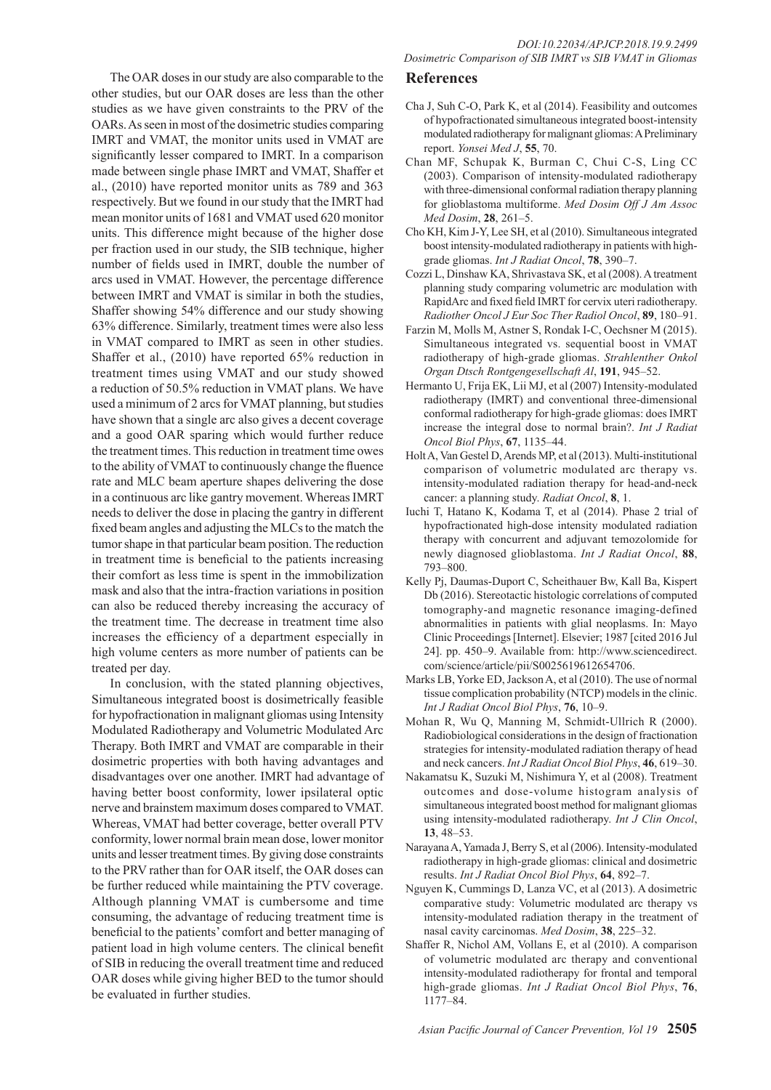The OAR doses in our study are also comparable to the other studies, but our OAR doses are less than the other studies as we have given constraints to the PRV of the OARs. As seen in most of the dosimetric studies comparing IMRT and VMAT, the monitor units used in VMAT are significantly lesser compared to IMRT. In a comparison made between single phase IMRT and VMAT, Shaffer et al., (2010) have reported monitor units as 789 and 363 respectively. But we found in our study that the IMRT had mean monitor units of 1681 and VMAT used 620 monitor units. This difference might because of the higher dose per fraction used in our study, the SIB technique, higher number of fields used in IMRT, double the number of arcs used in VMAT. However, the percentage difference between IMRT and VMAT is similar in both the studies, Shaffer showing 54% difference and our study showing 63% difference. Similarly, treatment times were also less in VMAT compared to IMRT as seen in other studies. Shaffer et al., (2010) have reported 65% reduction in treatment times using VMAT and our study showed a reduction of 50.5% reduction in VMAT plans. We have used a minimum of 2 arcs for VMAT planning, but studies have shown that a single arc also gives a decent coverage and a good OAR sparing which would further reduce the treatment times. This reduction in treatment time owes to the ability of VMAT to continuously change the fluence rate and MLC beam aperture shapes delivering the dose in a continuous arc like gantry movement. Whereas IMRT needs to deliver the dose in placing the gantry in different fixed beam angles and adjusting the MLCs to the match the tumor shape in that particular beam position. The reduction in treatment time is beneficial to the patients increasing their comfort as less time is spent in the immobilization mask and also that the intra-fraction variations in position can also be reduced thereby increasing the accuracy of the treatment time. The decrease in treatment time also increases the efficiency of a department especially in high volume centers as more number of patients can be treated per day.

In conclusion, with the stated planning objectives, Simultaneous integrated boost is dosimetrically feasible for hypofractionation in malignant gliomas using Intensity Modulated Radiotherapy and Volumetric Modulated Arc Therapy. Both IMRT and VMAT are comparable in their dosimetric properties with both having advantages and disadvantages over one another. IMRT had advantage of having better boost conformity, lower ipsilateral optic nerve and brainstem maximum doses compared to VMAT. Whereas, VMAT had better coverage, better overall PTV conformity, lower normal brain mean dose, lower monitor units and lesser treatment times. By giving dose constraints to the PRV rather than for OAR itself, the OAR doses can be further reduced while maintaining the PTV coverage. Although planning VMAT is cumbersome and time consuming, the advantage of reducing treatment time is beneficial to the patients' comfort and better managing of patient load in high volume centers. The clinical benefit of SIB in reducing the overall treatment time and reduced OAR doses while giving higher BED to the tumor should be evaluated in further studies.

# **References**

- Cha J, Suh C-O, Park K, et al (2014). Feasibility and outcomes of hypofractionated simultaneous integrated boost-intensity modulated radiotherapy for malignant gliomas: A Preliminary report. *Yonsei Med J*, **55**, 70.
- Chan MF, Schupak K, Burman C, Chui C-S, Ling CC (2003). Comparison of intensity-modulated radiotherapy with three-dimensional conformal radiation therapy planning for glioblastoma multiforme. *Med Dosim Off J Am Assoc Med Dosim*, **28**, 261–5.
- Cho KH, Kim J-Y, Lee SH, et al (2010). Simultaneous integrated boost intensity-modulated radiotherapy in patients with highgrade gliomas. *Int J Radiat Oncol*, **78**, 390–7.
- Cozzi L, Dinshaw KA, Shrivastava SK, et al (2008). A treatment planning study comparing volumetric arc modulation with RapidArc and fixed field IMRT for cervix uteri radiotherapy. *Radiother Oncol J Eur Soc Ther Radiol Oncol*, **89**, 180–91.
- Farzin M, Molls M, Astner S, Rondak I-C, Oechsner M (2015). Simultaneous integrated vs. sequential boost in VMAT radiotherapy of high-grade gliomas. *Strahlenther Onkol Organ Dtsch Rontgengesellschaft Al*, **191**, 945–52.
- Hermanto U, Frija EK, Lii MJ, et al (2007) Intensity-modulated radiotherapy (IMRT) and conventional three-dimensional conformal radiotherapy for high-grade gliomas: does IMRT increase the integral dose to normal brain?. *Int J Radiat Oncol Biol Phys*, **67**, 1135–44.
- Holt A, Van Gestel D, Arends MP, et al (2013). Multi-institutional comparison of volumetric modulated arc therapy vs. intensity-modulated radiation therapy for head-and-neck cancer: a planning study. *Radiat Oncol*, **8**, 1.
- Iuchi T, Hatano K, Kodama T, et al (2014). Phase 2 trial of hypofractionated high-dose intensity modulated radiation therapy with concurrent and adjuvant temozolomide for newly diagnosed glioblastoma. *Int J Radiat Oncol*, **88**, 793–800.
- Kelly Pj, Daumas-Duport C, Scheithauer Bw, Kall Ba, Kispert Db (2016). Stereotactic histologic correlations of computed tomography-and magnetic resonance imaging-defined abnormalities in patients with glial neoplasms. In: Mayo Clinic Proceedings [Internet]. Elsevier; 1987 [cited 2016 Jul 24]. pp. 450–9. Available from: http://www.sciencedirect. com/science/article/pii/S0025619612654706.
- Marks LB, Yorke ED, Jackson A, et al (2010). The use of normal tissue complication probability (NTCP) models in the clinic. *Int J Radiat Oncol Biol Phys*, **76**, 10–9.
- Mohan R, Wu Q, Manning M, Schmidt-Ullrich R (2000). Radiobiological considerations in the design of fractionation strategies for intensity-modulated radiation therapy of head and neck cancers. *Int J Radiat Oncol Biol Phys*, **46**, 619–30.
- Nakamatsu K, Suzuki M, Nishimura Y, et al (2008). Treatment outcomes and dose-volume histogram analysis of simultaneous integrated boost method for malignant gliomas using intensity-modulated radiotherapy. *Int J Clin Oncol*, **13**, 48–53.
- Narayana A, Yamada J, Berry S, et al (2006). Intensity-modulated radiotherapy in high-grade gliomas: clinical and dosimetric results. *Int J Radiat Oncol Biol Phys*, **64**, 892–7.
- Nguyen K, Cummings D, Lanza VC, et al (2013). A dosimetric comparative study: Volumetric modulated arc therapy vs intensity-modulated radiation therapy in the treatment of nasal cavity carcinomas. *Med Dosim*, **38**, 225–32.
- Shaffer R, Nichol AM, Vollans E, et al (2010). A comparison of volumetric modulated arc therapy and conventional intensity-modulated radiotherapy for frontal and temporal high-grade gliomas. *Int J Radiat Oncol Biol Phys*, **76**, 1177–84.